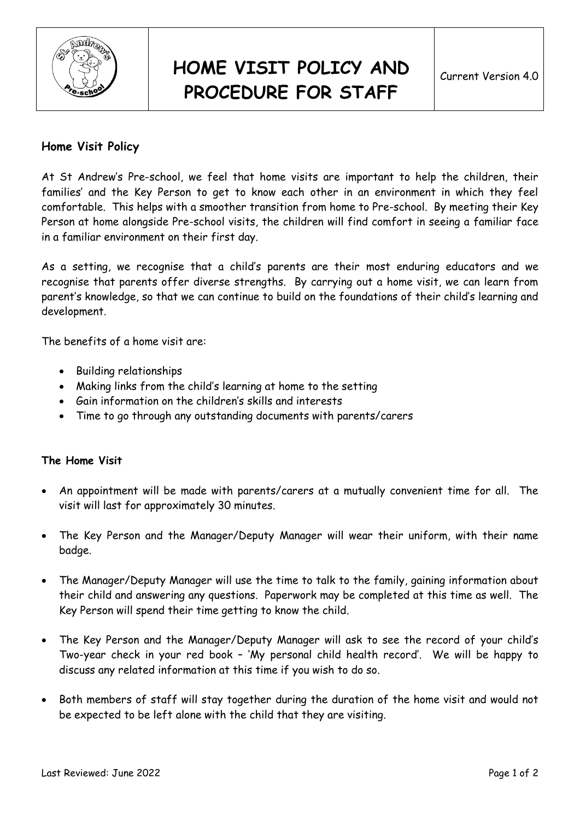

## **HOME VISIT POLICY AND PROCEDURE FOR STAFF**

## **Home Visit Policy**

At St Andrew's Pre-school, we feel that home visits are important to help the children, their families' and the Key Person to get to know each other in an environment in which they feel comfortable. This helps with a smoother transition from home to Pre-school. By meeting their Key Person at home alongside Pre-school visits, the children will find comfort in seeing a familiar face in a familiar environment on their first day.

As a setting, we recognise that a child's parents are their most enduring educators and we recognise that parents offer diverse strengths. By carrying out a home visit, we can learn from parent's knowledge, so that we can continue to build on the foundations of their child's learning and development.

The benefits of a home visit are:

- Building relationships
- Making links from the child's learning at home to the setting
- Gain information on the children's skills and interests
- Time to go through any outstanding documents with parents/carers

## **The Home Visit**

- An appointment will be made with parents/carers at a mutually convenient time for all. The visit will last for approximately 30 minutes.
- The Key Person and the Manager/Deputy Manager will wear their uniform, with their name badge.
- The Manager/Deputy Manager will use the time to talk to the family, gaining information about their child and answering any questions. Paperwork may be completed at this time as well. The Key Person will spend their time getting to know the child.
- The Key Person and the Manager/Deputy Manager will ask to see the record of your child's Two-year check in your red book – 'My personal child health record'. We will be happy to discuss any related information at this time if you wish to do so.
- Both members of staff will stay together during the duration of the home visit and would not be expected to be left alone with the child that they are visiting.